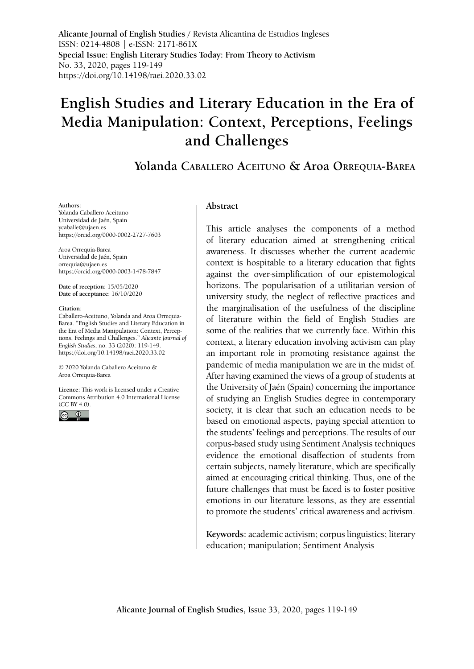**Alicante Journal of English Studies /** Revista Alicantina de Estudios Ingleses ISSN: 0214-4808 | e-ISSN: 2171-861X **Special Issue: English Literary Studies Today: From Theory to Activism** No. 33, 2020, pages 119-149 <https://doi.org/10.14198/raei.2020.33.02>

# **English Studies and Literary Education in the Era of Media Manipulation: Context, Perceptions, Feelings and Challenges**

# **Yolanda Caballero Aceituno & Aroa Orrequia-Barea**

#### **Authors:**

Yolanda Caballero Aceituno Universidad de Jaén, Spain [ycaballe@ujaen.es](mailto:ycaballe@ujaen.es) https://orcid.org/0000-0002-2727-7603

Aroa Orrequia-Barea Universidad de Jaén, Spain [orrequia@ujaen.es](mailto:orrequia@ujaen.es) https://orcid.org/0000-0003-1478-7847

**Date of reception:** 15/05/2020 **Date of acceptance:** 16/10/2020

#### **Citation:**

Caballero-Aceituno, Yolanda and Aroa Orrequia-Barea. "English Studies and Literary Education in the Era of Media Manipulation: Context, Perceptions, Feelings and Challenges." *Alicante Journal of English Studies*, no. 33 (2020): 119-149. [https://doi.org/10.14198/raei.2020.33.02](https://doi.org/10.14198/raei.2020.33.02 )

© 2020 Yolanda Caballero Aceituno & Aroa Orrequia-Barea

**Licence:** [This work is licensed under a Creative](https://creativecommons.org/licenses/by/4.0/)  [Commons Attribution 4.0 International License](https://creativecommons.org/licenses/by/4.0/)  [\(CC BY 4.0\).](https://creativecommons.org/licenses/by/4.0/)



#### **Abstract**

This article analyses the components of a method of literary education aimed at strengthening critical awareness. It discusses whether the current academic context is hospitable to a literary education that fights against the over-simplification of our epistemological horizons. The popularisation of a utilitarian version of university study, the neglect of reflective practices and the marginalisation of the usefulness of the discipline of literature within the field of English Studies are some of the realities that we currently face. Within this context, a literary education involving activism can play an important role in promoting resistance against the pandemic of media manipulation we are in the midst of. After having examined the views of a group of students at the University of Jaén (Spain) concerning the importance of studying an English Studies degree in contemporary society, it is clear that such an education needs to be based on emotional aspects, paying special attention to the students' feelings and perceptions. The results of our corpus-based study using Sentiment Analysis techniques evidence the emotional disaffection of students from certain subjects, namely literature, which are specifically aimed at encouraging critical thinking. Thus, one of the future challenges that must be faced is to foster positive emotions in our literature lessons, as they are essential to promote the students' critical awareness and activism.

**Keywords:** academic activism; corpus linguistics; literary education; manipulation; Sentiment Analysis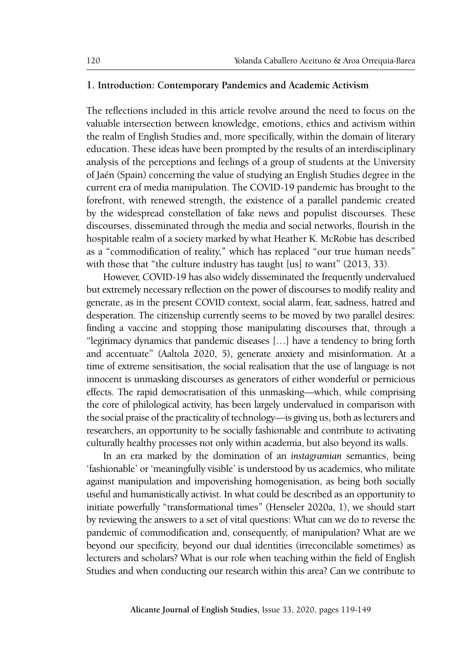#### **1. Introduction: Contemporary Pandemics and Academic Activism**

The reflections included in this article revolve around the need to focus on the valuable intersection between knowledge, emotions, ethics and activism within the realm of English Studies and, more specifically, within the domain of literary education. These ideas have been prompted by the results of an interdisciplinary analysis of the perceptions and feelings of a group of students at the University of Jaén (Spain) concerning the value of studying an English Studies degree in the current era of media manipulation. The COVID-19 pandemic has brought to the forefront, with renewed strength, the existence of a parallel pandemic created by the widespread constellation of fake news and populist discourses. These discourses, disseminated through the media and social networks, flourish in the hospitable realm of a society marked by what Heather K. McRobie has described as a "commodification of reality," which has replaced "our true human needs" with those that "the culture industry has taught [us] to want" (2013, 33).

However, COVID-19 has also widely disseminated the frequently undervalued but extremely necessary reflection on the power of discourses to modify reality and generate, as in the present COVID context, social alarm, fear, sadness, hatred and desperation. The citizenship currently seems to be moved by two parallel desires: finding a vaccine and stopping those manipulating discourses that, through a "legitimacy dynamics that pandemic diseases […] have a tendency to bring forth and accentuate" (Aaltola 2020, 5), generate anxiety and misinformation. At a time of extreme sensitisation, the social realisation that the use of language is not innocent is unmasking discourses as generators of either wonderful or pernicious effects. The rapid democratisation of this unmasking—which, while comprising the core of philological activity, has been largely undervalued in comparison with the social praise of the practicality of technology—is giving us, both as lecturers and researchers, an opportunity to be socially fashionable and contribute to activating culturally healthy processes not only within academia, but also beyond its walls.

In an era marked by the domination of an *instagramian* semantics, being 'fashionable' or 'meaningfully visible' is understood by us academics, who militate against manipulation and impoverishing homogenisation, as being both socially useful and humanistically activist. In what could be described as an opportunity to initiate powerfully "transformational times" (Henseler 2020a, 1), we should start by reviewing the answers to a set of vital questions: What can we do to reverse the pandemic of commodification and, consequently, of manipulation? What are we beyond our specificity, beyond our dual identities (irreconcilable sometimes) as lecturers and scholars? What is our role when teaching within the field of English Studies and when conducting our research within this area? Can we contribute to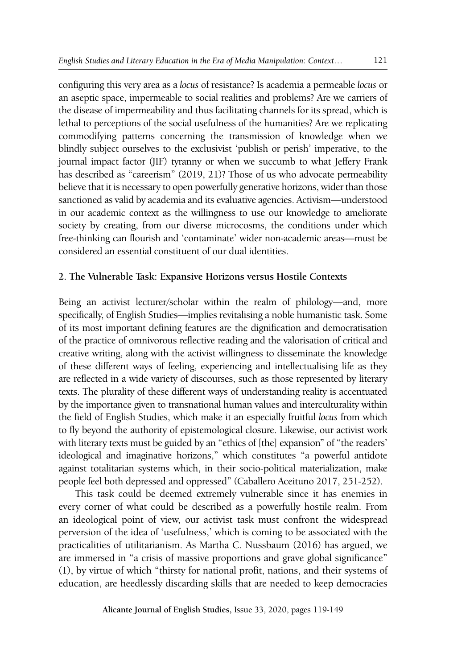configuring this very area as a *locus* of resistance? Is academia a permeable *locus* or an aseptic space, impermeable to social realities and problems? Are we carriers of the disease of impermeability and thus facilitating channels for its spread, which is lethal to perceptions of the social usefulness of the humanities? Are we replicating commodifying patterns concerning the transmission of knowledge when we blindly subject ourselves to the exclusivist 'publish or perish' imperative, to the journal impact factor (JIF) tyranny or when we succumb to what Jeffery Frank has described as "careerism" (2019, 21)? Those of us who advocate permeability believe that it is necessary to open powerfully generative horizons, wider than those sanctioned as valid by academia and its evaluative agencies. Activism—understood in our academic context as the willingness to use our knowledge to ameliorate society by creating, from our diverse microcosms, the conditions under which free-thinking can flourish and 'contaminate' wider non-academic areas—must be considered an essential constituent of our dual identities.

### **2. The Vulnerable Task: Expansive Horizons versus Hostile Contexts**

Being an activist lecturer/scholar within the realm of philology—and, more specifically, of English Studies—implies revitalising a noble humanistic task. Some of its most important defining features are the dignification and democratisation of the practice of omnivorous reflective reading and the valorisation of critical and creative writing, along with the activist willingness to disseminate the knowledge of these different ways of feeling, experiencing and intellectualising life as they are reflected in a wide variety of discourses, such as those represented by literary texts. The plurality of these different ways of understanding reality is accentuated by the importance given to transnational human values and interculturality within the field of English Studies, which make it an especially fruitful *locus* from which to fly beyond the authority of epistemological closure. Likewise, our activist work with literary texts must be guided by an "ethics of [the] expansion" of "the readers' ideological and imaginative horizons," which constitutes "a powerful antidote against totalitarian systems which, in their socio-political materialization, make people feel both depressed and oppressed" (Caballero Aceituno 2017, 251-252).

This task could be deemed extremely vulnerable since it has enemies in every corner of what could be described as a powerfully hostile realm. From an ideological point of view, our activist task must confront the widespread perversion of the idea of 'usefulness,' which is coming to be associated with the practicalities of utilitarianism. As Martha C. Nussbaum (2016) has argued, we are immersed in "a crisis of massive proportions and grave global significance" (1), by virtue of which "thirsty for national profit, nations, and their systems of education, are heedlessly discarding skills that are needed to keep democracies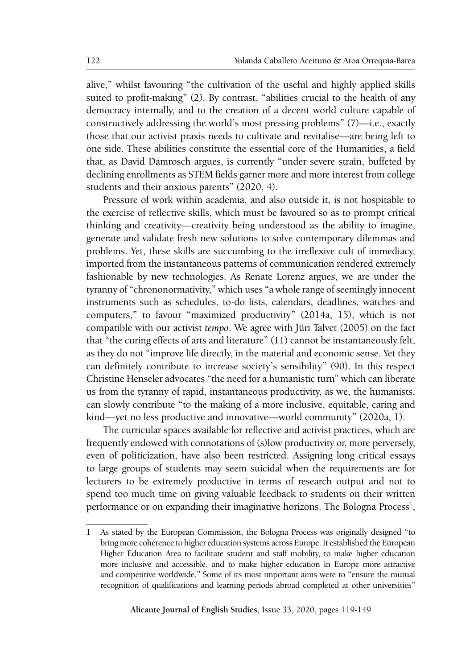alive," whilst favouring "the cultivation of the useful and highly applied skills suited to profit-making" (2). By contrast, "abilities crucial to the health of any democracy internally, and to the creation of a decent world culture capable of constructively addressing the world's most pressing problems" (7)—i.e., exactly those that our activist praxis needs to cultivate and revitalise—are being left to one side. These abilities constitute the essential core of the Humanities, a field that, as David Damrosch argues, is currently "under severe strain, buffeted by declining enrollments as STEM fields garner more and more interest from college students and their anxious parents" (2020, 4).

Pressure of work within academia, and also outside it, is not hospitable to the exercise of reflective skills, which must be favoured so as to prompt critical thinking and creativity—creativity being understood as the ability to imagine, generate and validate fresh new solutions to solve contemporary dilemmas and problems. Yet, these skills are succumbing to the irreflexive cult of immediacy, imported from the instantaneous patterns of communication rendered extremely fashionable by new technologies. As Renate Lorenz argues, we are under the tyranny of "chrononormativity," which uses "a whole range of seemingly innocent instruments such as schedules, to-do lists, calendars, deadlines, watches and computers," to favour "maximized productivity" (2014a, 15), which is not compatible with our activist *tempo*. We agree with Jüri Talvet (2005) on the fact that "the curing effects of arts and literature" (11) cannot be instantaneously felt, as they do not "improve life directly, in the material and economic sense. Yet they can definitely contribute to increase society's sensibility" (90). In this respect Christine Henseler advocates "the need for a humanistic turn" which can liberate us from the tyranny of rapid, instantaneous productivity, as we, the humanists, can slowly contribute "to the making of a more inclusive, equitable, caring and kind—yet no less productive and innovative—world community" (2020a, 1).

The curricular spaces available for reflective and activist practices, which are frequently endowed with connotations of (s)low productivity or, more perversely, even of politicization, have also been restricted. Assigning long critical essays to large groups of students may seem suicidal when the requirements are for lecturers to be extremely productive in terms of research output and not to spend too much time on giving valuable feedback to students on their written performance or on expanding their imaginative horizons. The Bologna Process<sup>1</sup>,

<sup>1</sup> As stated by the European Commission, the [Bologna Process](http://www.ehea.info/) was originally designed "to bring more coherence to [higher education](https://ec.europa.eu/education/policies/higher-education/about-higher-education-policy_en) systems across Europe. It established the European Higher Education Area to facilitate student and staff mobility, to make higher education more [inclusive and accessible](https://ec.europa.eu/education/policies/higher-education/inclusive-and-connected-higher-education_en), and to make higher education in Europe [more attractive](https://ec.europa.eu/education/policies/international-cooperation/making-eu-more-attractive-foreign-students_en) [and competitive](https://ec.europa.eu/education/policies/international-cooperation/making-eu-more-attractive-foreign-students_en) worldwide." Some of its most important aims were to "ensure the [mutual](https://ec.europa.eu/education/education-in-the-eu/proposal-for-a-council-recommendation-on-the-automatic-mutual-recognition-of-diplomas-and-learning-periods-abroad_en) [recognition of qualifications and learning periods abroad](https://ec.europa.eu/education/education-in-the-eu/proposal-for-a-council-recommendation-on-the-automatic-mutual-recognition-of-diplomas-and-learning-periods-abroad_en) completed at other universities"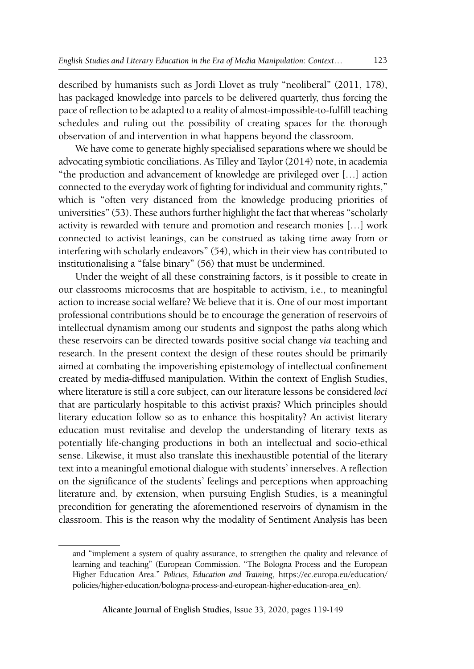described by humanists such as Jordi Llovet as truly "neoliberal" (2011, 178), has packaged knowledge into parcels to be delivered quarterly, thus forcing the pace of reflection to be adapted to a reality of almost-impossible-to-fulfill teaching schedules and ruling out the possibility of creating spaces for the thorough observation of and intervention in what happens beyond the classroom.

We have come to generate highly specialised separations where we should be advocating symbiotic conciliations. As Tilley and Taylor (2014) note, in academia "the production and advancement of knowledge are privileged over […] action connected to the everyday work of fighting for individual and community rights," which is "often very distanced from the knowledge producing priorities of universities" (53). These authors further highlight the fact that whereas "scholarly activity is rewarded with tenure and promotion and research monies […] work connected to activist leanings, can be construed as taking time away from or interfering with scholarly endeavors" (54), which in their view has contributed to institutionalising a "false binary" (56) that must be undermined.

Under the weight of all these constraining factors, is it possible to create in our classrooms microcosms that are hospitable to activism, i.e., to meaningful action to increase social welfare? We believe that it is. One of our most important professional contributions should be to encourage the generation of reservoirs of intellectual dynamism among our students and signpost the paths along which these reservoirs can be directed towards positive social change *via* teaching and research. In the present context the design of these routes should be primarily aimed at combating the impoverishing epistemology of intellectual confinement created by media-diffused manipulation. Within the context of English Studies, where literature is still a core subject, can our literature lessons be considered *loci*  that are particularly hospitable to this activist praxis? Which principles should literary education follow so as to enhance this hospitality? An activist literary education must revitalise and develop the understanding of literary texts as potentially life-changing productions in both an intellectual and socio-ethical sense. Likewise, it must also translate this inexhaustible potential of the literary text into a meaningful emotional dialogue with students' innerselves. A reflection on the significance of the students' feelings and perceptions when approaching literature and, by extension, when pursuing English Studies, is a meaningful precondition for generating the aforementioned reservoirs of dynamism in the classroom. This is the reason why the modality of Sentiment Analysis has been

and "implement a system of quality assurance, to strengthen the [quality and relevance](https://ec.europa.eu/education/policies/higher-education/relevant-and-high-quality-higher-education_en) of learning and teaching" (European Commission. "The Bologna Process and the European Higher Education Area." *Policies, Education and Training*, [https://ec.europa.eu/education/](https://ec.europa.eu/education/policies/higher-education/bologna-process-and-european-higher-education-area_en) [policies/higher-education/bologna-process-and-european-higher-education-area\\_en](https://ec.europa.eu/education/policies/higher-education/bologna-process-and-european-higher-education-area_en)).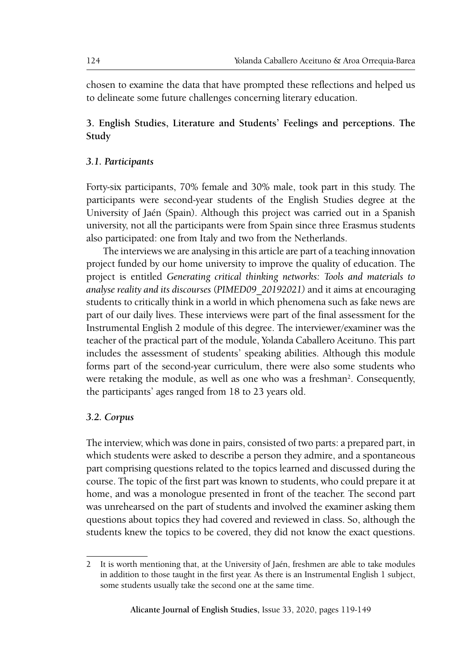chosen to examine the data that have prompted these reflections and helped us to delineate some future challenges concerning literary education.

## **3. English Studies, Literature and Students' Feelings and perceptions. The Study**

### *3.1. Participants*

Forty-six participants, 70% female and 30% male, took part in this study. The participants were second-year students of the English Studies degree at the University of Jaén (Spain). Although this project was carried out in a Spanish university, not all the participants were from Spain since three Erasmus students also participated: one from Italy and two from the Netherlands.

The interviews we are analysing in this article are part of a teaching innovation project funded by our home university to improve the quality of education. The project is entitled *Generating critical thinking networks: Tools and materials to analyse reality and its discourses* (*PIMED09\_20192021)* and it aims at encouraging students to critically think in a world in which phenomena such as fake news are part of our daily lives. These interviews were part of the final assessment for the Instrumental English 2 module of this degree. The interviewer/examiner was the teacher of the practical part of the module, Yolanda Caballero Aceituno. This part includes the assessment of students' speaking abilities. Although this module forms part of the second-year curriculum, there were also some students who were retaking the module, as well as one who was a freshman<sup>2</sup>. Consequently, the participants' ages ranged from 18 to 23 years old.

### *3.2. Corpus*

The interview, which was done in pairs, consisted of two parts: a prepared part, in which students were asked to describe a person they admire, and a spontaneous part comprising questions related to the topics learned and discussed during the course. The topic of the first part was known to students, who could prepare it at home, and was a monologue presented in front of the teacher. The second part was unrehearsed on the part of students and involved the examiner asking them questions about topics they had covered and reviewed in class. So, although the students knew the topics to be covered, they did not know the exact questions.

<sup>2</sup> It is worth mentioning that, at the University of Jaén, freshmen are able to take modules in addition to those taught in the first year. As there is an Instrumental English 1 subject, some students usually take the second one at the same time.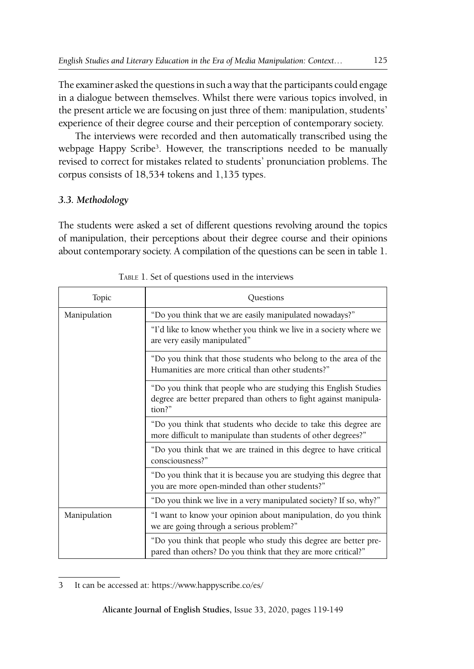The examiner asked the questions in such a way that the participants could engage in a dialogue between themselves. Whilst there were various topics involved, in the present article we are focusing on just three of them: manipulation, students' experience of their degree course and their perception of contemporary society.

The interviews were recorded and then automatically transcribed using the webpage Happy Scribe<sup>3</sup>. However, the transcriptions needed to be manually revised to correct for mistakes related to students' pronunciation problems. The corpus consists of 18,534 tokens and 1,135 types.

# *3.3. Methodology*

The students were asked a set of different questions revolving around the topics of manipulation, their perceptions about their degree course and their opinions about contemporary society. A compilation of the questions can be seen in table 1.

| Topic        | Ouestions                                                                                                                                     |  |  |
|--------------|-----------------------------------------------------------------------------------------------------------------------------------------------|--|--|
| Manipulation | "Do you think that we are easily manipulated nowadays?"                                                                                       |  |  |
|              | "I'd like to know whether you think we live in a society where we<br>are very easily manipulated"                                             |  |  |
|              | "Do you think that those students who belong to the area of the<br>Humanities are more critical than other students?"                         |  |  |
|              | "Do you think that people who are studying this English Studies<br>degree are better prepared than others to fight against manipula-<br>tion? |  |  |
|              | "Do you think that students who decide to take this degree are<br>more difficult to manipulate than students of other degrees?"               |  |  |
|              | "Do you think that we are trained in this degree to have critical<br>consciousness?"                                                          |  |  |
|              | "Do you think that it is because you are studying this degree that<br>you are more open-minded than other students?"                          |  |  |
|              | "Do you think we live in a very manipulated society? If so, why?"                                                                             |  |  |
| Manipulation | "I want to know your opinion about manipulation, do you think<br>we are going through a serious problem?"                                     |  |  |
|              | "Do you think that people who study this degree are better pre-<br>pared than others? Do you think that they are more critical?"              |  |  |

Table 1. Set of questions used in the interviews

<sup>3</sup> It can be accessed at: https://www.happyscribe.co/es/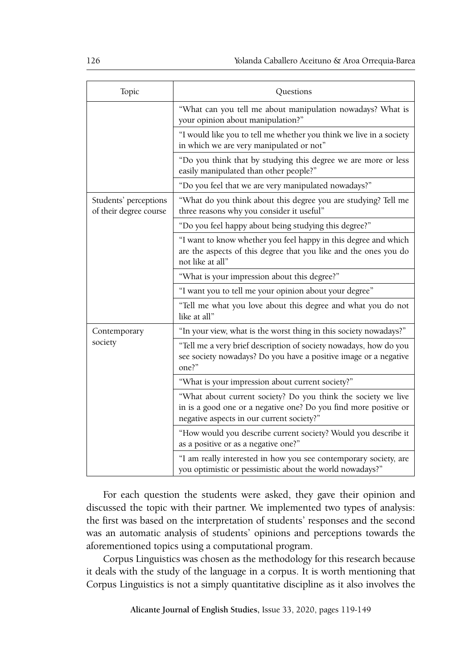| Topic                                           | Questions                                                                                                                                                                      |
|-------------------------------------------------|--------------------------------------------------------------------------------------------------------------------------------------------------------------------------------|
|                                                 | "What can you tell me about manipulation nowadays? What is<br>your opinion about manipulation?"                                                                                |
|                                                 | "I would like you to tell me whether you think we live in a society<br>in which we are very manipulated or not"                                                                |
|                                                 | "Do you think that by studying this degree we are more or less<br>easily manipulated than other people?"                                                                       |
|                                                 | "Do you feel that we are very manipulated nowadays?"                                                                                                                           |
| Students' perceptions<br>of their degree course | "What do you think about this degree you are studying? Tell me<br>three reasons why you consider it useful"                                                                    |
|                                                 | "Do you feel happy about being studying this degree?"                                                                                                                          |
|                                                 | "I want to know whether you feel happy in this degree and which<br>are the aspects of this degree that you like and the ones you do<br>not like at all"                        |
|                                                 | "What is your impression about this degree?"                                                                                                                                   |
|                                                 | "I want you to tell me your opinion about your degree"                                                                                                                         |
|                                                 | "Tell me what you love about this degree and what you do not<br>like at all"                                                                                                   |
| Contemporary                                    | "In your view, what is the worst thing in this society nowadays?"                                                                                                              |
| society                                         | "Tell me a very brief description of society nowadays, how do you<br>see society nowadays? Do you have a positive image or a negative<br>one?"                                 |
|                                                 | "What is your impression about current society?"                                                                                                                               |
|                                                 | "What about current society? Do you think the society we live<br>in is a good one or a negative one? Do you find more positive or<br>negative aspects in our current society?" |
|                                                 | "How would you describe current society? Would you describe it<br>as a positive or as a negative one?"                                                                         |
|                                                 | "I am really interested in how you see contemporary society, are<br>you optimistic or pessimistic about the world nowadays?"                                                   |

For each question the students were asked, they gave their opinion and discussed the topic with their partner. We implemented two types of analysis: the first was based on the interpretation of students' responses and the second was an automatic analysis of students' opinions and perceptions towards the aforementioned topics using a computational program.

Corpus Linguistics was chosen as the methodology for this research because it deals with the study of the language in a corpus. It is worth mentioning that Corpus Linguistics is not a simply quantitative discipline as it also involves the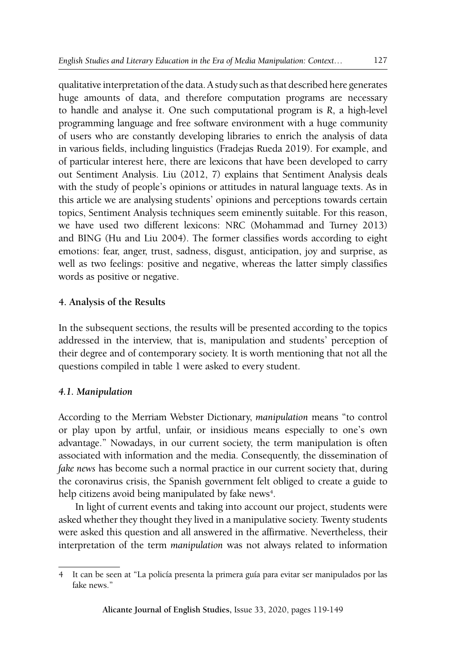qualitative interpretation of the data. A study such as that described here generates huge amounts of data, and therefore computation programs are necessary to handle and analyse it. One such computational program is *R*, a high-level programming language and free software environment with a huge community of users who are constantly developing libraries to enrich the analysis of data in various fields, including linguistics (Fradejas Rueda 2019). For example, and of particular interest here, there are lexicons that have been developed to carry out Sentiment Analysis. Liu (2012, 7) explains that Sentiment Analysis deals with the study of people's opinions or attitudes in natural language texts. As in this article we are analysing students' opinions and perceptions towards certain topics, Sentiment Analysis techniques seem eminently suitable. For this reason, we have used two different lexicons: NRC (Mohammad and Turney 2013) and BING (Hu and Liu 2004). The former classifies words according to eight emotions: fear, anger, trust, sadness, disgust, anticipation, joy and surprise, as well as two feelings: positive and negative, whereas the latter simply classifies words as positive or negative.

# **4. Analysis of the Results**

In the subsequent sections, the results will be presented according to the topics addressed in the interview, that is, manipulation and students' perception of their degree and of contemporary society. It is worth mentioning that not all the questions compiled in table 1 were asked to every student.

# *4.1. Manipulation*

According to the Merriam Webster Dictionary, *manipulation* means "to control or play upon by artful, unfair, or insidious means especially to one's own advantage." Nowadays, in our current society, the term manipulation is often associated with information and the media. Consequently, the dissemination of *fake news* has become such a normal practice in our current society that, during the coronavirus crisis, the Spanish government felt obliged to create a guide to help citizens avoid being manipulated by fake news<sup>4</sup>.

In light of current events and taking into account our project, students were asked whether they thought they lived in a manipulative society. Twenty students were asked this question and all answered in the affirmative. Nevertheless, their interpretation of the term *manipulation* was not always related to information

<sup>4</sup> It can be seen at "La policía presenta la primera guía para evitar ser manipulados por las fake news."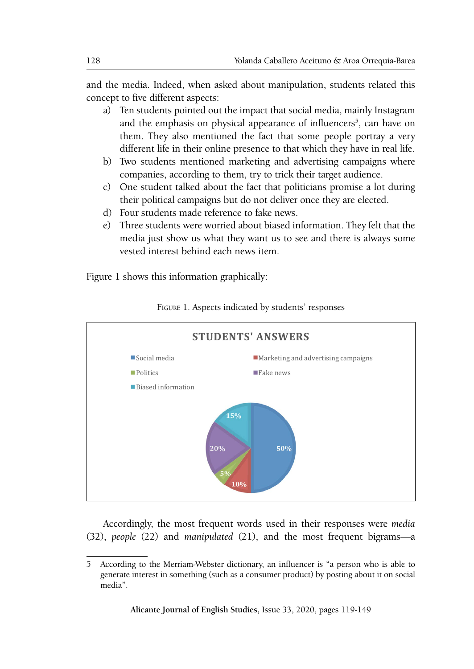and the media. Indeed, when asked about manipulation, students related this concept to five different aspects:

- a) Ten students pointed out the impact that social media, mainly Instagram and the emphasis on physical appearance of influencers<sup>5</sup>, can have on them. They also mentioned the fact that some people portray a very different life in their online presence to that which they have in real life.
- b) Two students mentioned marketing and advertising campaigns where companies, according to them, try to trick their target audience.
- c) One student talked about the fact that politicians promise a lot during their political campaigns but do not deliver once they are elected.
- d) Four students made reference to fake news.
- e) Three students were worried about biased information. They felt that the media just show us what they want us to see and there is always some vested interest behind each news item.

Figure 1 shows this information graphically: Figure 1 shows this information graphically:



Figure 1. Aspects indicated by students' responses FIGURE 1. Aspects indicated by students' responses

Accordingly, the most frequent words used in their responses were *media* (32), *people* (22) and *manipulated* (21), and the most frequent bigrams—a

**The according to the Merriam-Webster dictionary, an influencer is "a person who is able to** generate interest in something (such as a consumer product) by posting about it on social  $s_{\text{intra}}$  that  $t_{\text{intra}}$ media".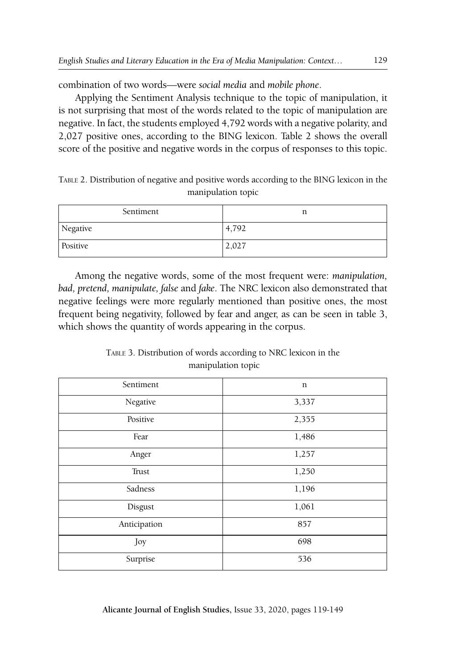combination of two words—were *social media* and *mobile phone*.

Applying the Sentiment Analysis technique to the topic of manipulation, it is not surprising that most of the words related to the topic of manipulation are negative. In fact, the students employed 4,792 words with a negative polarity, and 2,027 positive ones, according to the BING lexicon. Table 2 shows the overall score of the positive and negative words in the corpus of responses to this topic.

Table 2. Distribution of negative and positive words according to the BING lexicon in the manipulation topic

| Sentiment | n     |
|-----------|-------|
| Negative  | 4,792 |
| Positive  | 2,027 |

Among the negative words, some of the most frequent were: *manipulation, bad, pretend, manipulate, false* and *fake*. The NRC lexicon also demonstrated that negative feelings were more regularly mentioned than positive ones, the most frequent being negativity, followed by fear and anger, as can be seen in table 3, which shows the quantity of words appearing in the corpus.

Table 3. Distribution of words according to NRC lexicon in the manipulation topic

| Sentiment    | n     |
|--------------|-------|
| Negative     | 3,337 |
| Positive     | 2,355 |
| Fear         | 1,486 |
| Anger        | 1,257 |
| Trust        | 1,250 |
| Sadness      | 1,196 |
| Disgust      | 1,061 |
| Anticipation | 857   |
| Joy          | 698   |
| Surprise     | 536   |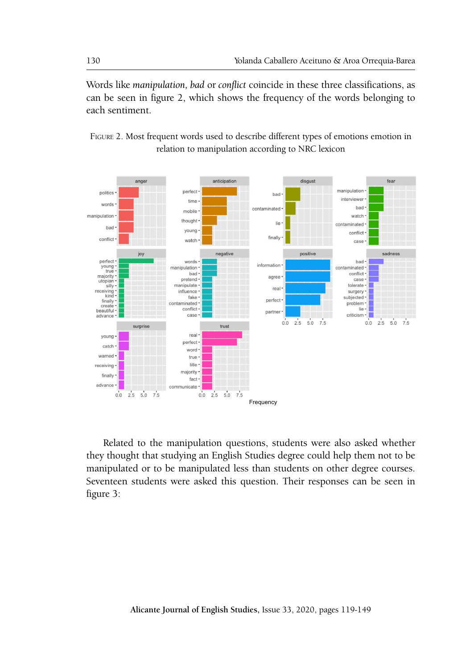Words like *manipulation, bad* or *conflict* coincide in these three classifications, as can be seen in figure 2, which shows the frequency of the words belonging to each sentiment. sentiment.

Words like *manipulation, bad* or *conflict* coincide in these three classifications, as





Related to the manipulation questions, students were also asked whether they thought that studying an English Studies degree could help them not to be manipulated or to be manipulated less than students on other degree courses. Seventeen students were asked this question. Their responses can be seen in figure 3: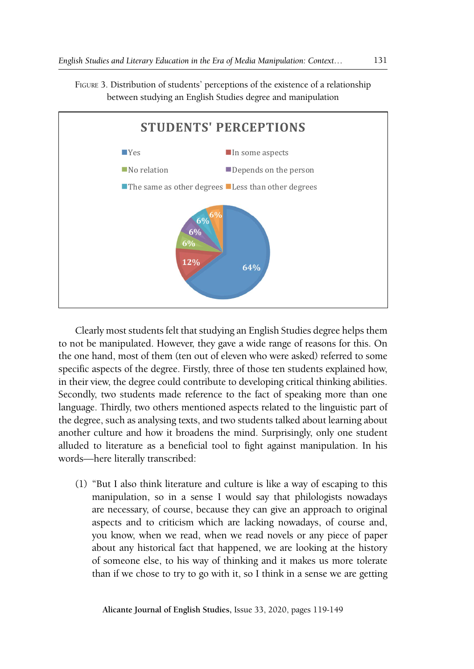

Figure 3. Distribution of students' perceptions of the existence of a relationship between studying an English Studies degree and manipulation

FIGURE 3. Distribution of studies of the extent that studying and extent that studying an English Studies  $\sim$ 

Clearly most students felt that studying an English Studies degree helps them to not to not be manipulated. However, they gave a wide range of reasons for this. On the one hand, most of them (ten out of eleven who were asked) referred to some Specific aspects of the degree. Thist, three of those ten stations explained now, in their view, the degree could contribute to developing critical thinking abilities. Secondly, two students made reference to the fact of speaking more than one the degree, such as analysing texts, and two students talked about learning about the degree, such as analysing texts, and two students talked about learning about another culture and how it broadens the mind. Surprisingly, only one student alluded to literature as a beneficial tool to fight against manipulation. In his words, bere literally transcribed Clearly most students felt that studying an English Studies degree helps them specific aspects of the degree. Firstly, three of those ten students explained how, language. Thirdly, two others mentioned aspects related to the linguistic part of words—here literally transcribed:

 $\sum_{i=1}^{n}$  but take them increased that earlier is the a  $m<sub>i</sub>$  or escaping to this manipulation, so in a sense I would say that philologists nowadays are necessary, of course, because they can give an approach to original about any historical fact that happened, we are looking at the history than if we chose to try to go with it, so I think in a sense we are getting (1) "But I also think literature and culture is like a way of escaping to this aspects and to criticism which are lacking nowadays, of course and, you know, when we read, when we read novels or any piece of paper of someone else, to his way of thinking and it makes us more tolerate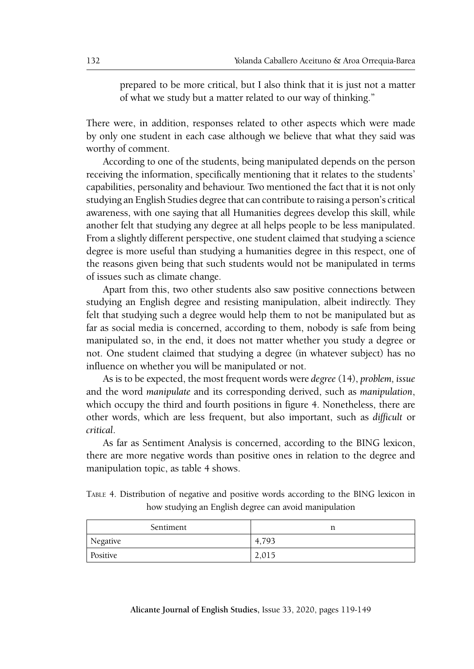prepared to be more critical, but I also think that it is just not a matter of what we study but a matter related to our way of thinking."

There were, in addition, responses related to other aspects which were made by only one student in each case although we believe that what they said was worthy of comment.

According to one of the students, being manipulated depends on the person receiving the information, specifically mentioning that it relates to the students' capabilities, personality and behaviour. Two mentioned the fact that it is not only studying an English Studies degree that can contribute to raising a person's critical awareness, with one saying that all Humanities degrees develop this skill, while another felt that studying any degree at all helps people to be less manipulated. From a slightly different perspective, one student claimed that studying a science degree is more useful than studying a humanities degree in this respect, one of the reasons given being that such students would not be manipulated in terms of issues such as climate change.

Apart from this, two other students also saw positive connections between studying an English degree and resisting manipulation, albeit indirectly. They felt that studying such a degree would help them to not be manipulated but as far as social media is concerned, according to them, nobody is safe from being manipulated so, in the end, it does not matter whether you study a degree or not. One student claimed that studying a degree (in whatever subject) has no influence on whether you will be manipulated or not.

As is to be expected, the most frequent words were *degree* (14), *problem, issue* and the word *manipulate* and its corresponding derived, such as *manipulation*, which occupy the third and fourth positions in figure 4. Nonetheless, there are other words, which are less frequent, but also important, such as *difficult* or *critical*.

As far as Sentiment Analysis is concerned, according to the BING lexicon, there are more negative words than positive ones in relation to the degree and manipulation topic, as table 4 shows.

| TABLE 4. Distribution of negative and positive words according to the BING lexicon in |                                                       |  |  |  |  |
|---------------------------------------------------------------------------------------|-------------------------------------------------------|--|--|--|--|
|                                                                                       | how studying an English degree can avoid manipulation |  |  |  |  |

| Sentiment | n     |
|-----------|-------|
| Negative  | 4.793 |
| Positive  | 2,015 |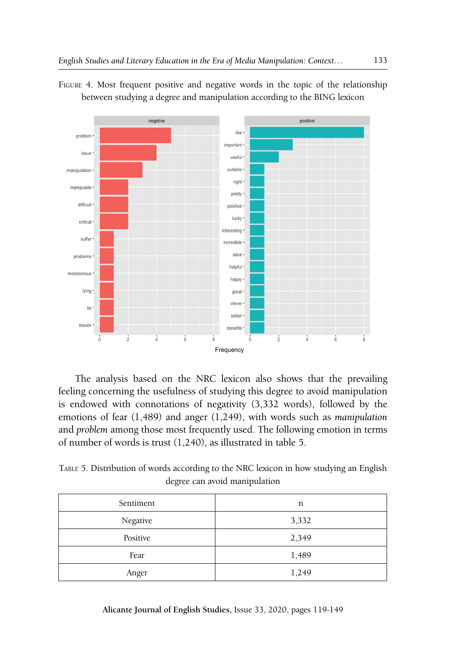

Figure 4. Most frequent positive and negative words in the topic of the relationship between studying a degree and manipulation according to the BING lexicon

feeling concerning the usefulness of studying this degree to avoid manipulation emotions of fear (1,489) and anger (1,249), with words such as *manipulation* and *problem* among those most frequently used. The following emotion in terms The analysis based on the NRC lexicon also shows that the prevailing is endowed with connotations of negativity (3,332 words), followed by the of number of words is trust (1,240), as illustrated in table 5.

TABLE 5. Distribution of words according to the NRC lexicon in how studying an English degree can avoid manipulation

| Sentiment | n     |
|-----------|-------|
| Negative  | 3,332 |
| Positive  | 2,349 |
| Fear      | 1,489 |
| Anger     | 1,249 |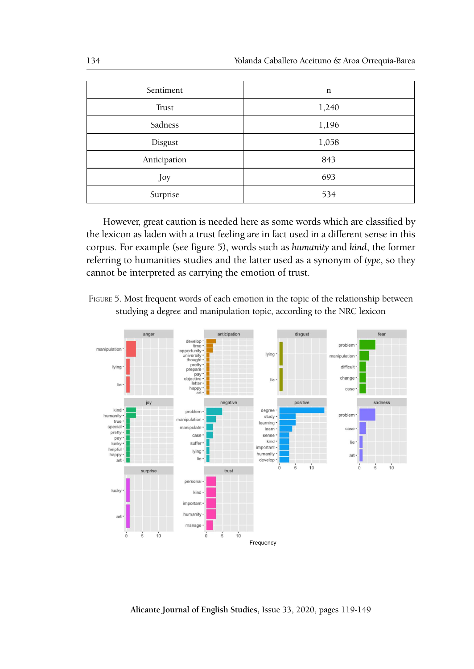| Sentiment    | n     |
|--------------|-------|
| Trust        | 1,240 |
| Sadness      | 1,196 |
| Disgust      | 1,058 |
| Anticipation | 843   |
| Joy          | 693   |
| Surprise     | 534   |

However, great caution is needed here as some words which are classified by Forelox, good cadden is necaded need as some words which are cadenned by the lexicon as laden with a trust feeling are in fact used in a different sense in this corpus. For example (see figure 5), words such as *humanity* and *kind*, the former referring to humanities studies and the latter used as a synonym of type, so they cannot be interpreted as carrying the emotion of trust.



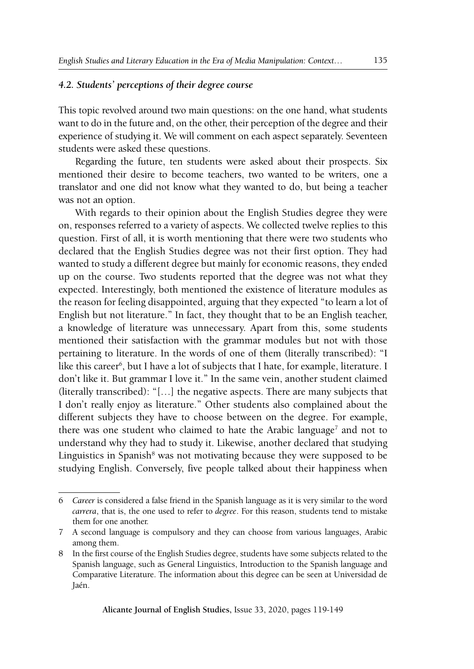#### *4.2. Students' perceptions of their degree course*

This topic revolved around two main questions: on the one hand, what students want to do in the future and, on the other, their perception of the degree and their experience of studying it. We will comment on each aspect separately. Seventeen students were asked these questions.

Regarding the future, ten students were asked about their prospects. Six mentioned their desire to become teachers, two wanted to be writers, one a translator and one did not know what they wanted to do, but being a teacher was not an option.

With regards to their opinion about the English Studies degree they were on, responses referred to a variety of aspects. We collected twelve replies to this question. First of all, it is worth mentioning that there were two students who declared that the English Studies degree was not their first option. They had wanted to study a different degree but mainly for economic reasons, they ended up on the course. Two students reported that the degree was not what they expected. Interestingly, both mentioned the existence of literature modules as the reason for feeling disappointed, arguing that they expected "to learn a lot of English but not literature." In fact, they thought that to be an English teacher, a knowledge of literature was unnecessary. Apart from this, some students mentioned their satisfaction with the grammar modules but not with those pertaining to literature. In the words of one of them (literally transcribed): "I like this career<sup>6</sup>, but I have a lot of subjects that I hate, for example, literature. I don't like it. But grammar I love it." In the same vein, another student claimed (literally transcribed): "[…] the negative aspects. There are many subjects that I don't really enjoy as literature." Other students also complained about the different subjects they have to choose between on the degree. For example, there was one student who claimed to hate the Arabic language<sup>7</sup> and not to understand why they had to study it. Likewise, another declared that studying Linguistics in Spanish $<sup>8</sup>$  was not motivating because they were supposed to be</sup> studying English. Conversely, five people talked about their happiness when

<sup>6</sup> *Career* is considered a false friend in the Spanish language as it is very similar to the word *carrera*, that is, the one used to refer to *degree*. For this reason, students tend to mistake them for one another.

<sup>7</sup> A second language is compulsory and they can choose from various languages, Arabic among them.

<sup>8</sup> In the first course of the English Studies degree, students have some subjects related to the Spanish language, such as General Linguistics, Introduction to the Spanish language and Comparative Literature. The information about this degree can be seen at Universidad de Jaén.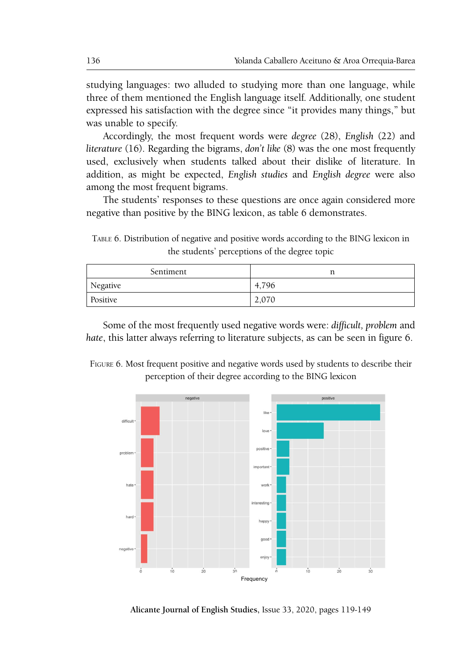studying languages: two alluded to studying more than one language, while three of them mentioned the English language itself. Additionally, one student expressed his satisfaction with the degree since "it provides many things," but was unable to specify. Accordingly, the most frequent words were *degree* (28), *English* (22) and *literature* 

Accordingly, the most frequent words were *degree* (28), *English* (22) and *literature* (16). Regarding the bigrams, *don't like* (8) was the one most frequently used, exclusively when students talked about their dislike of literature. In addition, as might be expected, *English studies* and *English degree* were also among the most frequent bigrams.

The students' responses to these questions are once again considered more negative than positive by the BING lexicon, as table 6 demonstrates.

TABLE 6. Distribution of negative and positive words according to the BING lexicon in the students' perceptions of the degree topic

| Sentiment | n     |
|-----------|-------|
| Negative  | 4.796 |
| Positive  | 2,070 |

Some of the most frequently used negative words were: difficult, problem and *hate*, this latter always referring to literature subjects, as can be seen in figure 6.

FIGURE 6. Most frequent positive and negative words used by students to describe their perception of their degree according to the BING lexicon perception of their degree according to the BING lexicon



Alicante Journal of English Studies, Issue 33, 2020, pages 119-149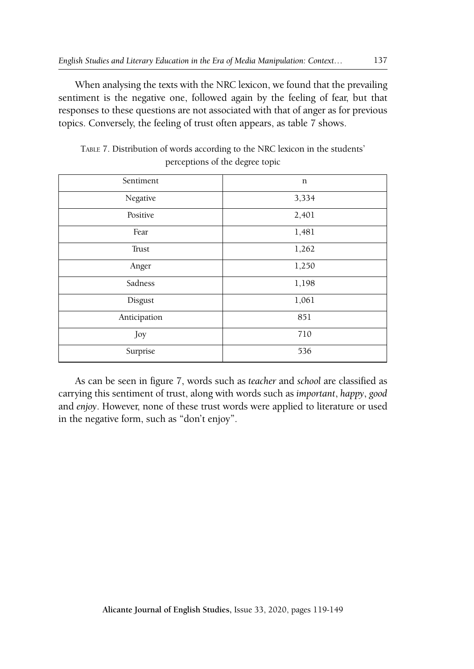When analysing the texts with the NRC lexicon, we found that the prevailing sentiment is the negative one, followed again by the feeling of fear, but that responses to these questions are not associated with that of anger as for previous topics. Conversely, the feeling of trust often appears, as table 7 shows.

| Sentiment    | $\mathbf n$ |
|--------------|-------------|
| Negative     | 3,334       |
| Positive     | 2,401       |
| Fear         | 1,481       |
| Trust        | 1,262       |
| Anger        | 1,250       |
| Sadness      | 1,198       |
| Disgust      | 1,061       |
| Anticipation | 851         |
| Joy          | 710         |
| Surprise     | 536         |

Table 7. Distribution of words according to the NRC lexicon in the students' perceptions of the degree topic

As can be seen in figure 7, words such as *teacher* and *school* are classified as carrying this sentiment of trust, along with words such as *important*, *happy*, *good*  and *enjoy*. However, none of these trust words were applied to literature or used in the negative form, such as "don't enjoy".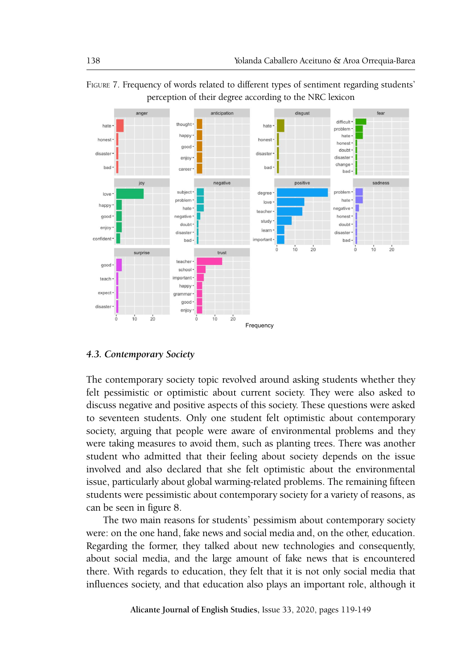

FIGURE 7. Frequency of words related to different types of sentiment regarding students' perception of their degree according to the NRC lexicon

### *4.3. Contemporary Society*

The contemporary society topic revolved around asking students whether they felt pessimistic or optimistic about current society. They were also asked to discuss negative and positive aspects of this society. These questions were asked society, arguing that people were aware of environmental problems and they were taking measures to avoid them, such as planting trees. There was another student who admitted that their feeling about society depends on the issue issue, particularly about global warming-related problems. The remaining fifteen students were pessimistic about contemporary society for a variety of reasons, as to seventeen students. Only one student felt optimistic about contemporary involved and also declared that she felt optimistic about the environmental can be seen in figure 8.

Earl be seen in figure o.<br>The two main reasons for students' pessimism about contemporary society were: on the one hand, fake news and social media and, on the other, education. Regarding the former, they talked about new technologies and consequently, about social media, and the large amount of fake news that is encountered there. With regards to education, they felt that it is not only social media that influences society, and that education also plays an important role, although it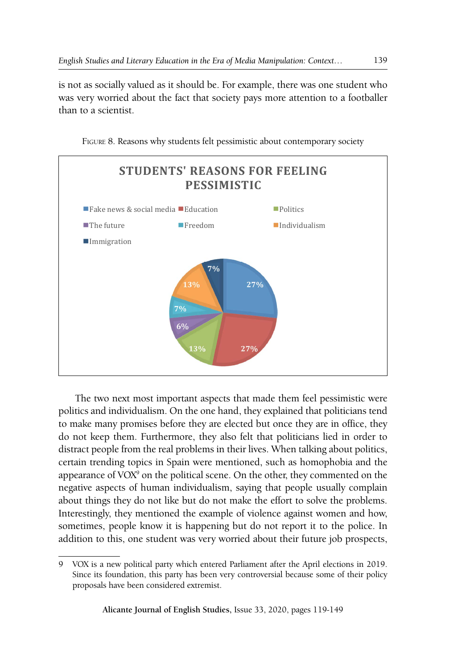is not as socially valued as it should be. For example, there was one student who was very worried about the fact that society pays more attention to a footballer than to a scientist.



Figure 8. Reasons why students felt pessimistic about contemporary society FIGURE 8. Reasons why students felt pessimistic about contemporary society

The two next most important aspects that made them feel pessimistic were to make many promises before they are elected but once they are in office, they do not keep them. Furthermore, they also felt that politicians lied in order to the large amount of fake news that is encountered there. With regards to education, they certain trending topics in Spain were mentioned, such as homophobia and the appearance of VOX<sup>9</sup> on the political scene. On the other, they commented on the politics and individualism. On the one hand, they explained that politicians tend distract people from the real problems in their lives. When talking about politics, negative aspects of human individualism, saying that people usually complain about things they do not like but do not make the effort to solve the problems. Interestingly, they mentioned the example of violence against women and how, sometimes, people know it is happening but do not report it to the police. In addition to this, one student was very worried about their future job prospects,

<sup>9</sup> VOX is a new political party which entered Parliament after the April elections in 2019. Since its foundation, this party has been very controversial because some of their policy proposals have been considered extremist.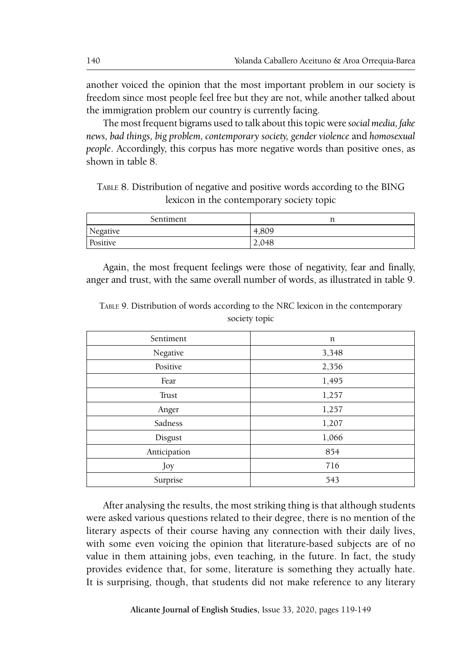another voiced the opinion that the most important problem in our society is freedom since most people feel free but they are not, while another talked about the immigration problem our country is currently facing.

The most frequent bigrams used to talk about this topic were *social media, fake news, bad things, big problem, contemporary society, gender violence* and *homosexual people*. Accordingly, this corpus has more negative words than positive ones, as shown in table 8.

Table 8. Distribution of negative and positive words according to the BING lexicon in the contemporary society topic

| Sentiment | ᅭ     |
|-----------|-------|
| Negative  | 4,809 |
| Positive  | 2.048 |

Again, the most frequent feelings were those of negativity, fear and finally, anger and trust, with the same overall number of words, as illustrated in table 9.

| Sentiment    | n     |
|--------------|-------|
| Negative     | 3,348 |
| Positive     | 2,356 |
| Fear         | 1,495 |
| Trust        | 1,257 |
| Anger        | 1,257 |
| Sadness      | 1,207 |
| Disgust      | 1,066 |
| Anticipation | 854   |
| Joy          | 716   |
| Surprise     | 543   |

Table 9. Distribution of words according to the NRC lexicon in the contemporary society topic

After analysing the results, the most striking thing is that although students were asked various questions related to their degree, there is no mention of the literary aspects of their course having any connection with their daily lives, with some even voicing the opinion that literature-based subjects are of no value in them attaining jobs, even teaching, in the future. In fact, the study provides evidence that, for some, literature is something they actually hate. It is surprising, though, that students did not make reference to any literary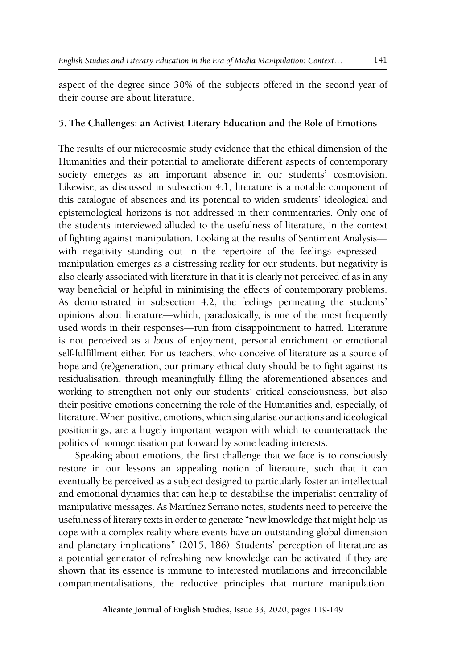aspect of the degree since 30% of the subjects offered in the second year of their course are about literature.

#### **5. The Challenges: an Activist Literary Education and the Role of Emotions**

The results of our microcosmic study evidence that the ethical dimension of the Humanities and their potential to ameliorate different aspects of contemporary society emerges as an important absence in our students' cosmovision. Likewise, as discussed in subsection 4.1, literature is a notable component of this catalogue of absences and its potential to widen students' ideological and epistemological horizons is not addressed in their commentaries. Only one of the students interviewed alluded to the usefulness of literature, in the context of fighting against manipulation. Looking at the results of Sentiment Analysis with negativity standing out in the repertoire of the feelings expressed manipulation emerges as a distressing reality for our students, but negativity is also clearly associated with literature in that it is clearly not perceived of as in any way beneficial or helpful in minimising the effects of contemporary problems. As demonstrated in subsection 4.2, the feelings permeating the students' opinions about literature—which, paradoxically, is one of the most frequently used words in their responses—run from disappointment to hatred. Literature is not perceived as a *locus* of enjoyment, personal enrichment or emotional self-fulfillment either. For us teachers, who conceive of literature as a source of hope and (re)generation, our primary ethical duty should be to fight against its residualisation, through meaningfully filling the aforementioned absences and working to strengthen not only our students' critical consciousness, but also their positive emotions concerning the role of the Humanities and, especially, of literature. When positive, emotions, which singularise our actions and ideological positionings, are a hugely important weapon with which to counterattack the politics of homogenisation put forward by some leading interests.

Speaking about emotions, the first challenge that we face is to consciously restore in our lessons an appealing notion of literature, such that it can eventually be perceived as a subject designed to particularly foster an intellectual and emotional dynamics that can help to destabilise the imperialist centrality of manipulative messages. As Martínez Serrano notes, students need to perceive the usefulness of literary texts in order to generate "new knowledge that might help us cope with a complex reality where events have an outstanding global dimension and planetary implications" (2015, 186). Students' perception of literature as a potential generator of refreshing new knowledge can be activated if they are shown that its essence is immune to interested mutilations and irreconcilable compartmentalisations, the reductive principles that nurture manipulation.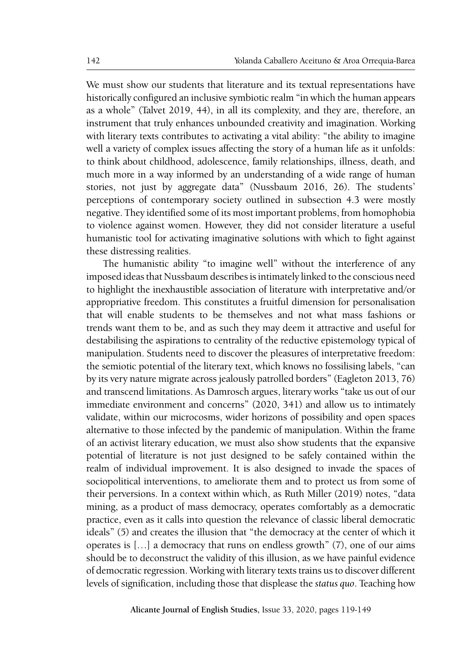We must show our students that literature and its textual representations have historically configured an inclusive symbiotic realm "in which the human appears as a whole" (Talvet 2019, 44), in all its complexity, and they are, therefore, an instrument that truly enhances unbounded creativity and imagination. Working with literary texts contributes to activating a vital ability: "the ability to imagine well a variety of complex issues affecting the story of a human life as it unfolds: to think about childhood, adolescence, family relationships, illness, death, and much more in a way informed by an understanding of a wide range of human stories, not just by aggregate data" (Nussbaum 2016, 26). The students' perceptions of contemporary society outlined in subsection 4.3 were mostly negative. They identified some of its most important problems, from homophobia to violence against women. However, they did not consider literature a useful humanistic tool for activating imaginative solutions with which to fight against these distressing realities.

The humanistic ability "to imagine well" without the interference of any imposed ideas that Nussbaum describes is intimately linked to the conscious need to highlight the inexhaustible association of literature with interpretative and/or appropriative freedom. This constitutes a fruitful dimension for personalisation that will enable students to be themselves and not what mass fashions or trends want them to be, and as such they may deem it attractive and useful for destabilising the aspirations to centrality of the reductive epistemology typical of manipulation. Students need to discover the pleasures of interpretative freedom: the semiotic potential of the literary text, which knows no fossilising labels, "can by its very nature migrate across jealously patrolled borders" (Eagleton 2013, 76) and transcend limitations. As Damrosch argues, literary works "take us out of our immediate environment and concerns" (2020, 341) and allow us to intimately validate, within our microcosms, wider horizons of possibility and open spaces alternative to those infected by the pandemic of manipulation. Within the frame of an activist literary education, we must also show students that the expansive potential of literature is not just designed to be safely contained within the realm of individual improvement. It is also designed to invade the spaces of sociopolitical interventions, to ameliorate them and to protect us from some of their perversions. In a context within which, as Ruth Miller (2019) notes, "data mining, as a product of mass democracy, operates comfortably as a democratic practice, even as it calls into question the relevance of classic liberal democratic ideals" (5) and creates the illusion that "the democracy at the center of which it operates is […] a democracy that runs on endless growth" (7), one of our aims should be to deconstruct the validity of this illusion, as we have painful evidence of democratic regression. Working with literary texts trains us to discover different levels of signification, including those that displease the *status quo*. Teaching how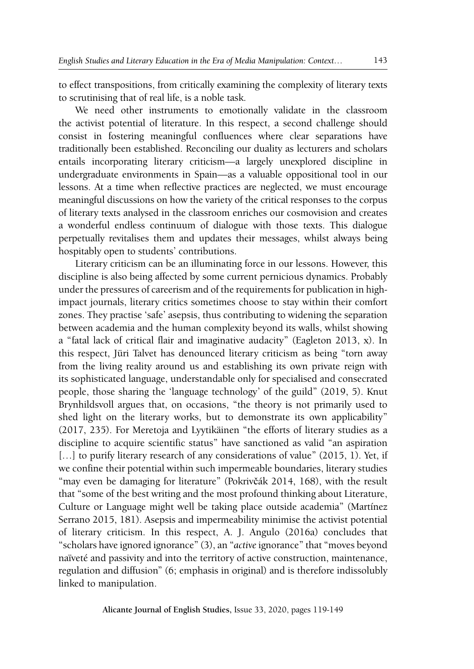to effect transpositions, from critically examining the complexity of literary texts to scrutinising that of real life, is a noble task.

We need other instruments to emotionally validate in the classroom the activist potential of literature. In this respect, a second challenge should consist in fostering meaningful confluences where clear separations have traditionally been established. Reconciling our duality as lecturers and scholars entails incorporating literary criticism—a largely unexplored discipline in undergraduate environments in Spain—as a valuable oppositional tool in our lessons. At a time when reflective practices are neglected, we must encourage meaningful discussions on how the variety of the critical responses to the corpus of literary texts analysed in the classroom enriches our cosmovision and creates a wonderful endless continuum of dialogue with those texts. This dialogue perpetually revitalises them and updates their messages, whilst always being hospitably open to students' contributions.

Literary criticism can be an illuminating force in our lessons. However, this discipline is also being affected by some current pernicious dynamics. Probably under the pressures of careerism and of the requirements for publication in highimpact journals, literary critics sometimes choose to stay within their comfort zones. They practise 'safe' asepsis, thus contributing to widening the separation between academia and the human complexity beyond its walls, whilst showing a "fatal lack of critical flair and imaginative audacity" (Eagleton 2013, x). In this respect, Jüri Talvet has denounced literary criticism as being "torn away from the living reality around us and establishing its own private reign with its sophisticated language, understandable only for specialised and consecrated people, those sharing the 'language technology' of the guild" (2019, 5). Knut Brynhildsvoll argues that, on occasions, "the theory is not primarily used to shed light on the literary works, but to demonstrate its own applicability" (2017, 235). For Meretoja and Lyytikäinen "the efforts of literary studies as a discipline to acquire scientific status" have sanctioned as valid "an aspiration [...] to purify literary research of any considerations of value" (2015, 1). Yet, if we confine their potential within such impermeable boundaries, literary studies "may even be damaging for literature" (Pokrivčák 2014, 168), with the result that "some of the best writing and the most profound thinking about Literature, Culture or Language might well be taking place outside academia" (Martínez Serrano 2015, 181). Asepsis and impermeability minimise the activist potential of literary criticism. In this respect, A. J. Angulo (2016a) concludes that "scholars have ignored ignorance" (3), an "*active* ignorance" that "moves beyond naïveté and passivity and into the territory of active construction, maintenance, regulation and diffusion" (6; emphasis in original) and is therefore indissolubly linked to manipulation.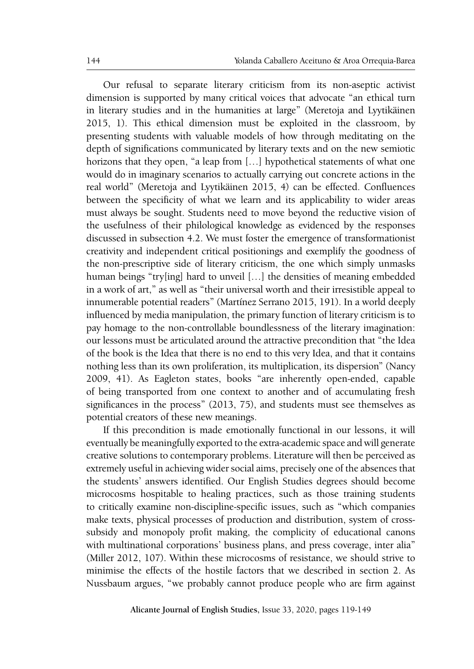Our refusal to separate literary criticism from its non-aseptic activist dimension is supported by many critical voices that advocate "an ethical turn in literary studies and in the humanities at large" (Meretoja and Lyytikäinen 2015, 1). This ethical dimension must be exploited in the classroom, by presenting students with valuable models of how through meditating on the depth of significations communicated by literary texts and on the new semiotic horizons that they open, "a leap from [...] hypothetical statements of what one would do in imaginary scenarios to actually carrying out concrete actions in the real world" (Meretoja and Lyytikäinen 2015, 4) can be effected. Confluences between the specificity of what we learn and its applicability to wider areas must always be sought. Students need to move beyond the reductive vision of the usefulness of their philological knowledge as evidenced by the responses discussed in subsection 4.2. We must foster the emergence of transformationist creativity and independent critical positionings and exemplify the goodness of the non-prescriptive side of literary criticism, the one which simply unmasks human beings "try[ing] hard to unveil […] the densities of meaning embedded in a work of art," as well as "their universal worth and their irresistible appeal to innumerable potential readers" (Martínez Serrano 2015, 191). In a world deeply influenced by media manipulation, the primary function of literary criticism is to pay homage to the non-controllable boundlessness of the literary imagination: our lessons must be articulated around the attractive precondition that "the Idea of the book is the Idea that there is no end to this very Idea, and that it contains nothing less than its own proliferation, its multiplication, its dispersion" (Nancy 2009, 41). As Eagleton states, books "are inherently open-ended, capable of being transported from one context to another and of accumulating fresh significances in the process" (2013, 75), and students must see themselves as potential creators of these new meanings.

If this precondition is made emotionally functional in our lessons, it will eventually be meaningfully exported to the extra-academic space and will generate creative solutions to contemporary problems. Literature will then be perceived as extremely useful in achieving wider social aims, precisely one of the absences that the students' answers identified. Our English Studies degrees should become microcosms hospitable to healing practices, such as those training students to critically examine non-discipline-specific issues, such as "which companies make texts, physical processes of production and distribution, system of crosssubsidy and monopoly profit making, the complicity of educational canons with multinational corporations' business plans, and press coverage, inter alia" (Miller 2012, 107). Within these microcosms of resistance, we should strive to minimise the effects of the hostile factors that we described in section 2. As Nussbaum argues, "we probably cannot produce people who are firm against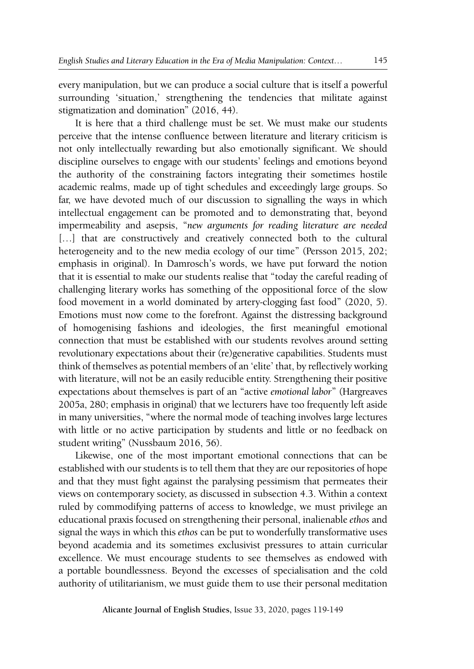every manipulation, but we can produce a social culture that is itself a powerful surrounding 'situation,' strengthening the tendencies that militate against stigmatization and domination" (2016, 44).

It is here that a third challenge must be set. We must make our students perceive that the intense confluence between literature and literary criticism is not only intellectually rewarding but also emotionally significant. We should discipline ourselves to engage with our students' feelings and emotions beyond the authority of the constraining factors integrating their sometimes hostile academic realms, made up of tight schedules and exceedingly large groups. So far, we have devoted much of our discussion to signalling the ways in which intellectual engagement can be promoted and to demonstrating that, beyond impermeability and asepsis, "*new arguments for reading literature are needed*  [...] that are constructively and creatively connected both to the cultural heterogeneity and to the new media ecology of our time" (Persson 2015, 202; emphasis in original). In Damrosch's words, we have put forward the notion that it is essential to make our students realise that "today the careful reading of challenging literary works has something of the oppositional force of the slow food movement in a world dominated by artery-clogging fast food" (2020, 5). Emotions must now come to the forefront. Against the distressing background of homogenising fashions and ideologies, the first meaningful emotional connection that must be established with our students revolves around setting revolutionary expectations about their (re)generative capabilities. Students must think of themselves as potential members of an 'elite' that, by reflectively working with literature, will not be an easily reducible entity. Strengthening their positive expectations about themselves is part of an "active *emotional labor*" (Hargreaves 2005a, 280; emphasis in original) that we lecturers have too frequently left aside in many universities, "where the normal mode of teaching involves large lectures with little or no active participation by students and little or no feedback on student writing" (Nussbaum 2016, 56).

Likewise, one of the most important emotional connections that can be established with our students is to tell them that they are our repositories of hope and that they must fight against the paralysing pessimism that permeates their views on contemporary society, as discussed in subsection 4.3. Within a context ruled by commodifying patterns of access to knowledge, we must privilege an educational praxis focused on strengthening their personal, inalienable *ethos* and signal the ways in which this *ethos* can be put to wonderfully transformative uses beyond academia and its sometimes exclusivist pressures to attain curricular excellence. We must encourage students to see themselves as endowed with a portable boundlessness. Beyond the excesses of specialisation and the cold authority of utilitarianism, we must guide them to use their personal meditation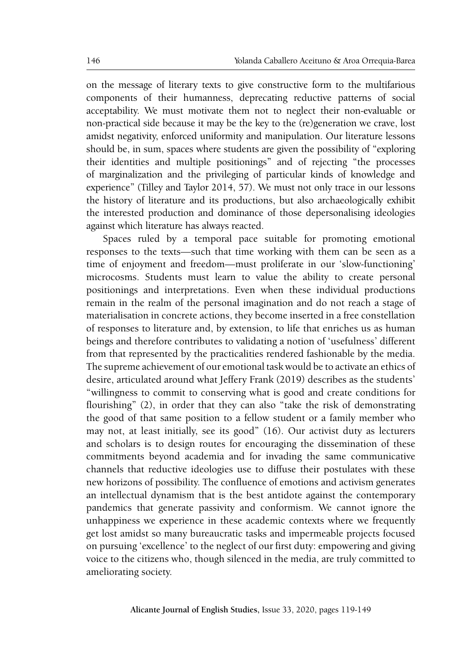on the message of literary texts to give constructive form to the multifarious components of their humanness, deprecating reductive patterns of social acceptability. We must motivate them not to neglect their non-evaluable or non-practical side because it may be the key to the (re)generation we crave, lost amidst negativity, enforced uniformity and manipulation. Our literature lessons should be, in sum, spaces where students are given the possibility of "exploring their identities and multiple positionings" and of rejecting "the processes of marginalization and the privileging of particular kinds of knowledge and experience" (Tilley and Taylor 2014, 57). We must not only trace in our lessons the history of literature and its productions, but also archaeologically exhibit the interested production and dominance of those depersonalising ideologies against which literature has always reacted.

Spaces ruled by a temporal pace suitable for promoting emotional responses to the texts—such that time working with them can be seen as a time of enjoyment and freedom—must proliferate in our 'slow-functioning' microcosms. Students must learn to value the ability to create personal positionings and interpretations. Even when these individual productions remain in the realm of the personal imagination and do not reach a stage of materialisation in concrete actions, they become inserted in a free constellation of responses to literature and, by extension, to life that enriches us as human beings and therefore contributes to validating a notion of 'usefulness' different from that represented by the practicalities rendered fashionable by the media. The supreme achievement of our emotional task would be to activate an ethics of desire, articulated around what Jeffery Frank (2019) describes as the students' "willingness to commit to conserving what is good and create conditions for flourishing" (2), in order that they can also "take the risk of demonstrating the good of that same position to a fellow student or a family member who may not, at least initially, see its good" (16). Our activist duty as lecturers and scholars is to design routes for encouraging the dissemination of these commitments beyond academia and for invading the same communicative channels that reductive ideologies use to diffuse their postulates with these new horizons of possibility. The confluence of emotions and activism generates an intellectual dynamism that is the best antidote against the contemporary pandemics that generate passivity and conformism. We cannot ignore the unhappiness we experience in these academic contexts where we frequently get lost amidst so many bureaucratic tasks and impermeable projects focused on pursuing 'excellence' to the neglect of our first duty: empowering and giving voice to the citizens who, though silenced in the media, are truly committed to ameliorating society.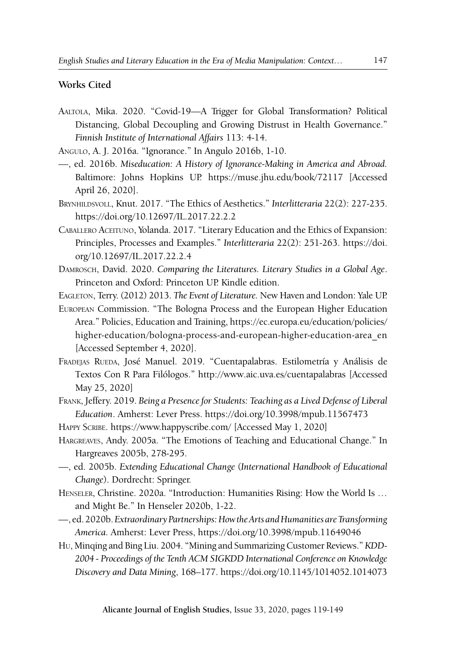#### **Works Cited**

- Aaltola, Mika. 2020. "Covid-19—A Trigger for Global Transformation? Political Distancing, Global Decoupling and Growing Distrust in Health Governance." *Finnish Institute of International Affairs* 113: 4-14.
- Angulo, A. J. 2016a. "Ignorance." In Angulo 2016b, 1-10.
- —, ed. 2016b. *Miseducation: A History of Ignorance-Making in America and Abroad.* Baltimore: Johns Hopkins UP. https://muse.jhu.edu/book/72117 [Accessed April 26, 2020].
- Brynhildsvoll, Knut. 2017. "The Ethics of Aesthetics." *Interlitteraria* 22(2): 227-235. <https://doi.org/10.12697/IL.2017.22.2.2>
- Caballero Aceituno, Yolanda. 2017. "Literary Education and the Ethics of Expansion: Principles, Processes and Examples." *Interlitteraria* 22(2): 251-263. [https://doi.](https://doi.org/10.12697/IL.2017.22.2.4) [org/10.12697/IL.2017.22.2.4](https://doi.org/10.12697/IL.2017.22.2.4)
- Damrosch, David. 2020. *Comparing the Literatures. Literary Studies in a Global Age*. Princeton and Oxford: Princeton UP. Kindle edition.
- Eagleton, Terry. (2012) 2013. *The Event of Literature.* New Haven and London: Yale UP.
- European Commission. "The Bologna Process and the European Higher Education Area." Policies, Education and Training, [https://ec.europa.eu/education/policies/](https://ec.europa.eu/education/policies/higher-education/bologna-process-and-european-higher-education-area_en) [higher-education/bologna-process-and-european-higher-education-area\\_en](https://ec.europa.eu/education/policies/higher-education/bologna-process-and-european-higher-education-area_en) [Accessed September 4, 2020].
- FRADEJAS RUEDA, JOSÉ Manuel. 2019. "Cuentapalabras. Estilometría y Análisis de Textos Con R Para Filólogos." <http://www.aic.uva.es/cuentapalabras>[Accessed May 25, 2020]
- Frank, Jeffery. 2019. *Being a Presence for Students: Teaching as a Lived Defense of Liberal Education*. Amherst: Lever Press. https://doi.org/10.3998/mpub.11567473
- Happy Scribe. <https://www.happyscribe.com/> [Accessed May 1, 2020]
- Hargreaves, Andy. 2005a. "The Emotions of Teaching and Educational Change." In Hargreaves 2005b, 278-295.
- —, ed. 2005b. *Extending Educational Change* (*International Handbook of Educational Change*). Dordrecht: Springer.
- Henseler, Christine. 2020a. "Introduction: Humanities Rising: How the World Is … and Might Be." In Henseler 2020b, 1-22.
- —, ed. 2020b. *Extraordinary Partnerships: How the Arts and Humanities are Transforming America.* Amherst: Lever Press, https://doi.org/10.3998/mpub.11649046
- Hu, Minqing and Bing Liu. 2004. "Mining and Summarizing Customer Reviews." *KDD-2004 - Proceedings of the Tenth ACM SIGKDD International Conference on Knowledge Discovery and Data Mining*, 168–177.<https://doi.org/10.1145/1014052.1014073>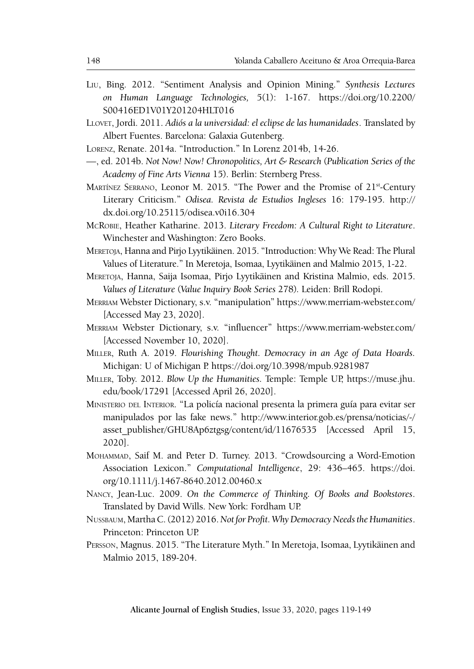- Liu, Bing. 2012. "Sentiment Analysis and Opinion Mining." *Synthesis Lectures on Human Language Technologies,* 5(1): 1-167. [https://doi.org/10.2200/](https://doi.org/10.2200/S00416ED1V01Y201204HLT016) [S00416ED1V01Y201204HLT016](https://doi.org/10.2200/S00416ED1V01Y201204HLT016)
- Llovet, Jordi. 2011. *Adiós a la universidad: el eclipse de las humanidades*. Translated by Albert Fuentes. Barcelona: Galaxia Gutenberg.
- Lorenz, Renate. 2014a. "Introduction." In Lorenz 2014b, 14-26.
- —, ed. 2014b. *Not Now! Now! Chronopolitics, Art & Research* (*Publication Series of the Academy of Fine Arts Vienna* 15). Berlin: Sternberg Press.
- Martínez Serrano, Leonor M. 2015. "The Power and the Promise of 21st-Century Literary Criticism." *Odisea. Revista de Estudios Ingleses* 16: 179-195. [http://](http://dx.doi.org/10.25115/odisea.v0i16.304) [dx.doi.org/10.25115/odisea.v0i16.304](http://dx.doi.org/10.25115/odisea.v0i16.304)
- McRobie, Heather Katharine. 2013. *Literary Freedom: A Cultural Right to Literature*. Winchester and Washington: Zero Books.
- Meretoja, Hanna and Pirjo Lyytikäinen. 2015. "Introduction: Why We Read: The Plural Values of Literature." In Meretoja, Isomaa, Lyytikäinen and Malmio 2015, 1-22.
- Meretoja, Hanna, Saija Isomaa, Pirjo Lyytikäinen and Kristina Malmio, eds. 2015. *Values of Literature* (*Value Inquiry Book Series* 278)*.* Leiden: Brill Rodopi.
- Merriam Webster Dictionary, s.v. "manipulation" <https://www.merriam-webster.com/> [Accessed May 23, 2020].
- Merriam Webster Dictionary, s.v. "influencer" <https://www.merriam-webster.com/> [Accessed November 10, 2020].
- Miller, Ruth A. 2019. *Flourishing Thought. Democracy in an Age of Data Hoards.*  Michigan: U of Michigan P.<https://doi.org/10.3998/mpub.9281987>
- Miller, Toby. 2012. *Blow Up the Humanities.* Temple: Temple UP, https://muse.jhu. edu/book/17291 [Accessed April 26, 2020].
- Ministerio del Interior. "La policía nacional presenta la primera guía para evitar ser manipulados por las fake news." [http://www.interior.gob.es/prensa/noticias/-/](http://www.interior.gob.es/prensa/noticias/-/asset_publisher/GHU8Ap6ztgsg/content/id/11676535) asset publisher/GHU8Ap6ztgsg/content/id/11676535 [Accessed April 15, 2020].
- Mohammad, Saif M. and Peter D. Turney. 2013. "Crowdsourcing a Word-Emotion Association Lexicon." *Computational Intelligence*, 29: 436–465. [https://doi.](https://doi.org/10.1111/j.1467-8640.2012.00460.x) [org/10.1111/j.1467-8640.2012.00460.x](https://doi.org/10.1111/j.1467-8640.2012.00460.x)
- Nancy, Jean-Luc. 2009. *On the Commerce of Thinking. Of Books and Bookstores*. Translated by David Wills. New York: Fordham UP.
- Nussbaum, Martha C. (2012) 2016. *Not for Profit. Why Democracy Needs the Humanities*. Princeton: Princeton UP.
- Persson, Magnus. 2015. "The Literature Myth." In Meretoja, Isomaa, Lyytikäinen and Malmio 2015, 189-204.